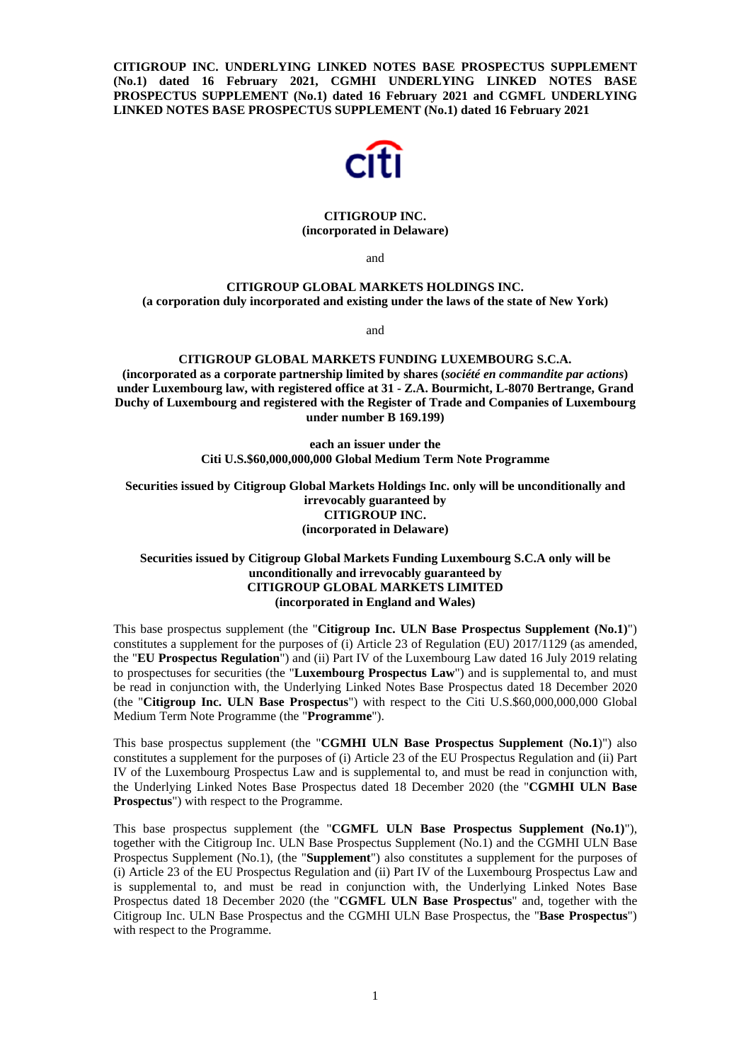**CITIGROUP INC. UNDERLYING LINKED NOTES BASE PROSPECTUS SUPPLEMENT (No.1) dated 16 February 2021, CGMHI UNDERLYING LINKED NOTES BASE PROSPECTUS SUPPLEMENT (No.1) dated 16 February 2021 and CGMFL UNDERLYING LINKED NOTES BASE PROSPECTUS SUPPLEMENT (No.1) dated 16 February 2021** 



#### **CITIGROUP INC. (incorporated in Delaware)**

and

# **CITIGROUP GLOBAL MARKETS HOLDINGS INC. (a corporation duly incorporated and existing under the laws of the state of New York)**

and

#### **CITIGROUP GLOBAL MARKETS FUNDING LUXEMBOURG S.C.A. (incorporated as a corporate partnership limited by shares (***société en commandite par actions***) under Luxembourg law, with registered office at 31 - Z.A. Bourmicht, L-8070 Bertrange, Grand Duchy of Luxembourg and registered with the Register of Trade and Companies of Luxembourg under number B 169.199)**

**each an issuer under the Citi U.S.\$60,000,000,000 Global Medium Term Note Programme** 

**Securities issued by Citigroup Global Markets Holdings Inc. only will be unconditionally and irrevocably guaranteed by CITIGROUP INC. (incorporated in Delaware)** 

# **Securities issued by Citigroup Global Markets Funding Luxembourg S.C.A only will be unconditionally and irrevocably guaranteed by CITIGROUP GLOBAL MARKETS LIMITED (incorporated in England and Wales)**

This base prospectus supplement (the "**Citigroup Inc. ULN Base Prospectus Supplement (No.1)**") constitutes a supplement for the purposes of (i) Article 23 of Regulation (EU) 2017/1129 (as amended, the "**EU Prospectus Regulation**") and (ii) Part IV of the Luxembourg Law dated 16 July 2019 relating to prospectuses for securities (the "**Luxembourg Prospectus Law**") and is supplemental to, and must be read in conjunction with, the Underlying Linked Notes Base Prospectus dated 18 December 2020 (the "**Citigroup Inc. ULN Base Prospectus**") with respect to the Citi U.S.\$60,000,000,000 Global Medium Term Note Programme (the "**Programme**").

This base prospectus supplement (the "**CGMHI ULN Base Prospectus Supplement** (**No.1**)") also constitutes a supplement for the purposes of (i) Article 23 of the EU Prospectus Regulation and (ii) Part IV of the Luxembourg Prospectus Law and is supplemental to, and must be read in conjunction with, the Underlying Linked Notes Base Prospectus dated 18 December 2020 (the "**CGMHI ULN Base Prospectus**") with respect to the Programme.

This base prospectus supplement (the "**CGMFL ULN Base Prospectus Supplement (No.1)**"), together with the Citigroup Inc. ULN Base Prospectus Supplement (No.1) and the CGMHI ULN Base Prospectus Supplement (No.1), (the "**Supplement**") also constitutes a supplement for the purposes of (i) Article 23 of the EU Prospectus Regulation and (ii) Part IV of the Luxembourg Prospectus Law and is supplemental to, and must be read in conjunction with, the Underlying Linked Notes Base Prospectus dated 18 December 2020 (the "**CGMFL ULN Base Prospectus**" and, together with the Citigroup Inc. ULN Base Prospectus and the CGMHI ULN Base Prospectus, the "**Base Prospectus**") with respect to the Programme.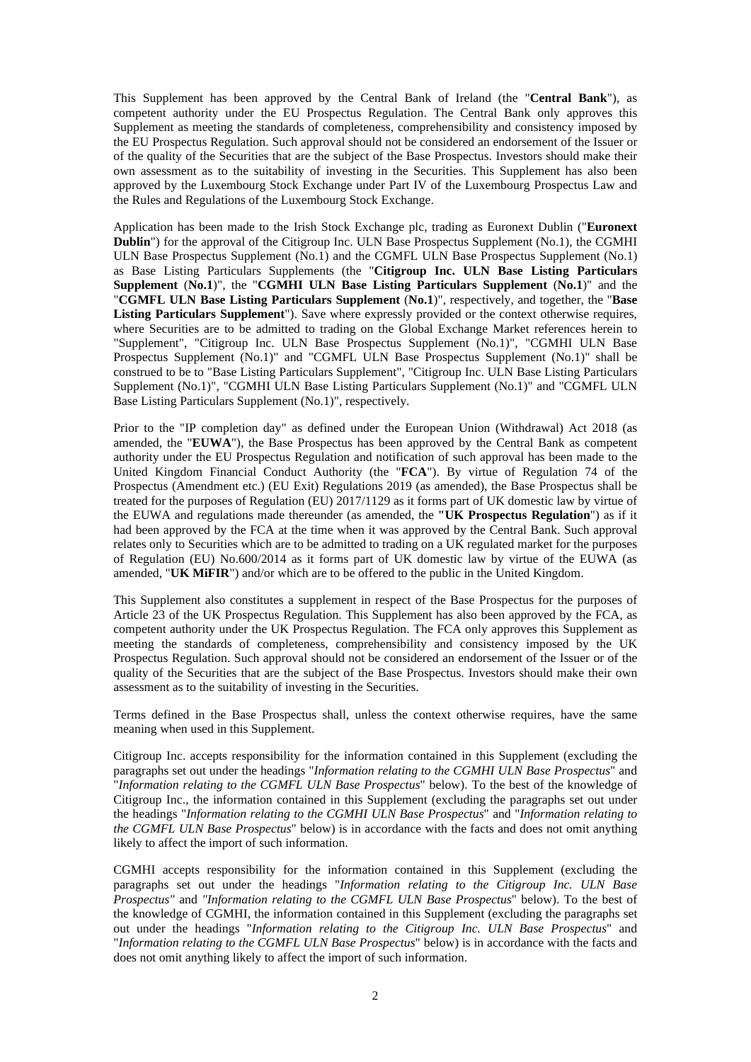This Supplement has been approved by the Central Bank of Ireland (the "**Central Bank**"), as competent authority under the EU Prospectus Regulation. The Central Bank only approves this Supplement as meeting the standards of completeness, comprehensibility and consistency imposed by the EU Prospectus Regulation. Such approval should not be considered an endorsement of the Issuer or of the quality of the Securities that are the subject of the Base Prospectus. Investors should make their own assessment as to the suitability of investing in the Securities. This Supplement has also been approved by the Luxembourg Stock Exchange under Part IV of the Luxembourg Prospectus Law and the Rules and Regulations of the Luxembourg Stock Exchange.

Application has been made to the Irish Stock Exchange plc, trading as Euronext Dublin ("**Euronext Dublin**") for the approval of the Citigroup Inc. ULN Base Prospectus Supplement (No.1), the CGMHI ULN Base Prospectus Supplement (No.1) and the CGMFL ULN Base Prospectus Supplement (No.1) as Base Listing Particulars Supplements (the "**Citigroup Inc. ULN Base Listing Particulars Supplement** (**No.1**)", the "**CGMHI ULN Base Listing Particulars Supplement** (**No.1**)" and the "**CGMFL ULN Base Listing Particulars Supplement** (**No.1**)", respectively, and together, the "**Base Listing Particulars Supplement**"). Save where expressly provided or the context otherwise requires, where Securities are to be admitted to trading on the Global Exchange Market references herein to "Supplement", "Citigroup Inc. ULN Base Prospectus Supplement (No.1)", "CGMHI ULN Base Prospectus Supplement (No.1)" and "CGMFL ULN Base Prospectus Supplement (No.1)" shall be construed to be to "Base Listing Particulars Supplement", "Citigroup Inc. ULN Base Listing Particulars Supplement (No.1)", "CGMHI ULN Base Listing Particulars Supplement (No.1)" and "CGMFL ULN Base Listing Particulars Supplement (No.1)", respectively.

Prior to the "IP completion day" as defined under the European Union (Withdrawal) Act 2018 (as amended, the "**EUWA**"), the Base Prospectus has been approved by the Central Bank as competent authority under the EU Prospectus Regulation and notification of such approval has been made to the United Kingdom Financial Conduct Authority (the "**FCA**"). By virtue of Regulation 74 of the Prospectus (Amendment etc.) (EU Exit) Regulations 2019 (as amended), the Base Prospectus shall be treated for the purposes of Regulation (EU) 2017/1129 as it forms part of UK domestic law by virtue of the EUWA and regulations made thereunder (as amended, the **"UK Prospectus Regulation**") as if it had been approved by the FCA at the time when it was approved by the Central Bank. Such approval relates only to Securities which are to be admitted to trading on a UK regulated market for the purposes of Regulation (EU) No.600/2014 as it forms part of UK domestic law by virtue of the EUWA (as amended, "**UK MiFIR**") and/or which are to be offered to the public in the United Kingdom.

This Supplement also constitutes a supplement in respect of the Base Prospectus for the purposes of Article 23 of the UK Prospectus Regulation. This Supplement has also been approved by the FCA, as competent authority under the UK Prospectus Regulation. The FCA only approves this Supplement as meeting the standards of completeness, comprehensibility and consistency imposed by the UK Prospectus Regulation. Such approval should not be considered an endorsement of the Issuer or of the quality of the Securities that are the subject of the Base Prospectus. Investors should make their own assessment as to the suitability of investing in the Securities.

Terms defined in the Base Prospectus shall, unless the context otherwise requires, have the same meaning when used in this Supplement.

Citigroup Inc. accepts responsibility for the information contained in this Supplement (excluding the paragraphs set out under the headings "*Information relating to the CGMHI ULN Base Prospectus*" and "*Information relating to the CGMFL ULN Base Prospectus*" below). To the best of the knowledge of Citigroup Inc., the information contained in this Supplement (excluding the paragraphs set out under the headings "*Information relating to the CGMHI ULN Base Prospectus*" and "*Information relating to the CGMFL ULN Base Prospectus*" below) is in accordance with the facts and does not omit anything likely to affect the import of such information.

CGMHI accepts responsibility for the information contained in this Supplement (excluding the paragraphs set out under the headings "*Information relating to the Citigroup Inc. ULN Base Prospectus"* and *"Information relating to the CGMFL ULN Base Prospectus*" below). To the best of the knowledge of CGMHI, the information contained in this Supplement (excluding the paragraphs set out under the headings "*Information relating to the Citigroup Inc. ULN Base Prospectus*" and "*Information relating to the CGMFL ULN Base Prospectus*" below) is in accordance with the facts and does not omit anything likely to affect the import of such information.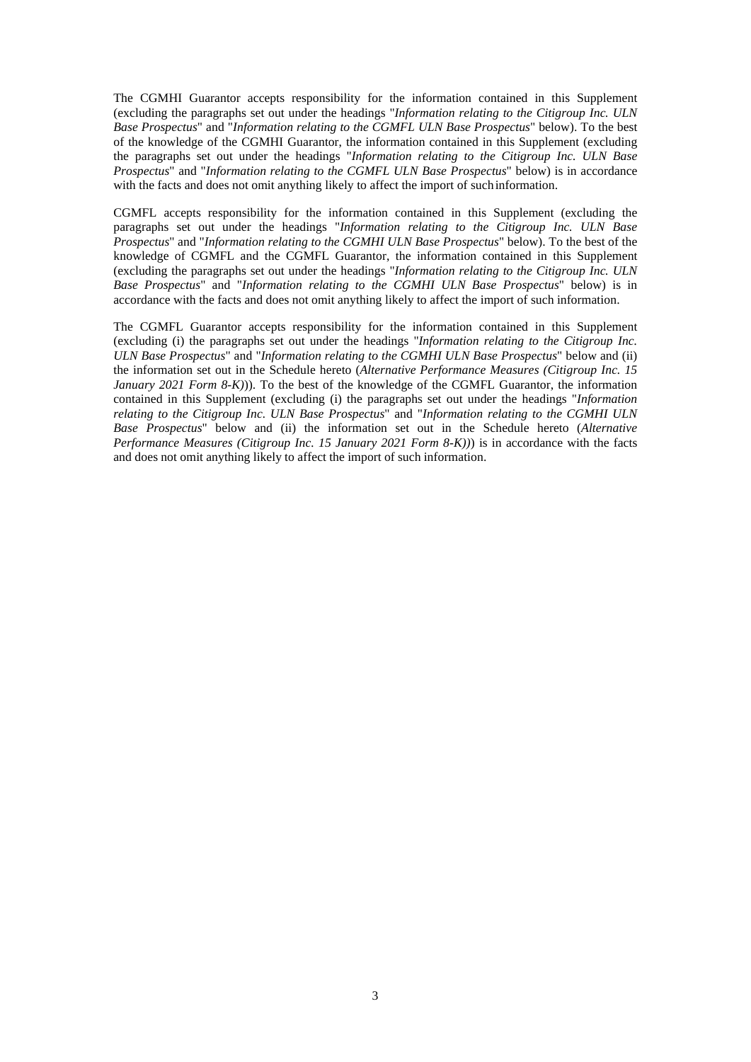The CGMHI Guarantor accepts responsibility for the information contained in this Supplement (excluding the paragraphs set out under the headings "*Information relating to the Citigroup Inc. ULN Base Prospectus*" and "*Information relating to the CGMFL ULN Base Prospectus*" below). To the best of the knowledge of the CGMHI Guarantor, the information contained in this Supplement (excluding the paragraphs set out under the headings "*Information relating to the Citigroup Inc. ULN Base Prospectus*" and "*Information relating to the CGMFL ULN Base Prospectus*" below) is in accordance with the facts and does not omit anything likely to affect the import of such information.

CGMFL accepts responsibility for the information contained in this Supplement (excluding the paragraphs set out under the headings "*Information relating to the Citigroup Inc. ULN Base Prospectus*" and "*Information relating to the CGMHI ULN Base Prospectus*" below). To the best of the knowledge of CGMFL and the CGMFL Guarantor, the information contained in this Supplement (excluding the paragraphs set out under the headings "*Information relating to the Citigroup Inc. ULN Base Prospectus*" and "*Information relating to the CGMHI ULN Base Prospectus*" below) is in accordance with the facts and does not omit anything likely to affect the import of such information.

The CGMFL Guarantor accepts responsibility for the information contained in this Supplement (excluding (i) the paragraphs set out under the headings "*Information relating to the Citigroup Inc. ULN Base Prospectus*" and "*Information relating to the CGMHI ULN Base Prospectus*" below and (ii) the information set out in the Schedule hereto (*Alternative Performance Measures (Citigroup Inc. 15 January 2021 Form 8-K))*. To the best of the knowledge of the CGMFL Guarantor, the information contained in this Supplement (excluding (i) the paragraphs set out under the headings "*Information relating to the Citigroup Inc. ULN Base Prospectus*" and "*Information relating to the CGMHI ULN Base Prospectus*" below and (ii) the information set out in the Schedule hereto (*Alternative Performance Measures (Citigroup Inc. 15 January 2021 Form 8-K))*) is in accordance with the facts and does not omit anything likely to affect the import of such information.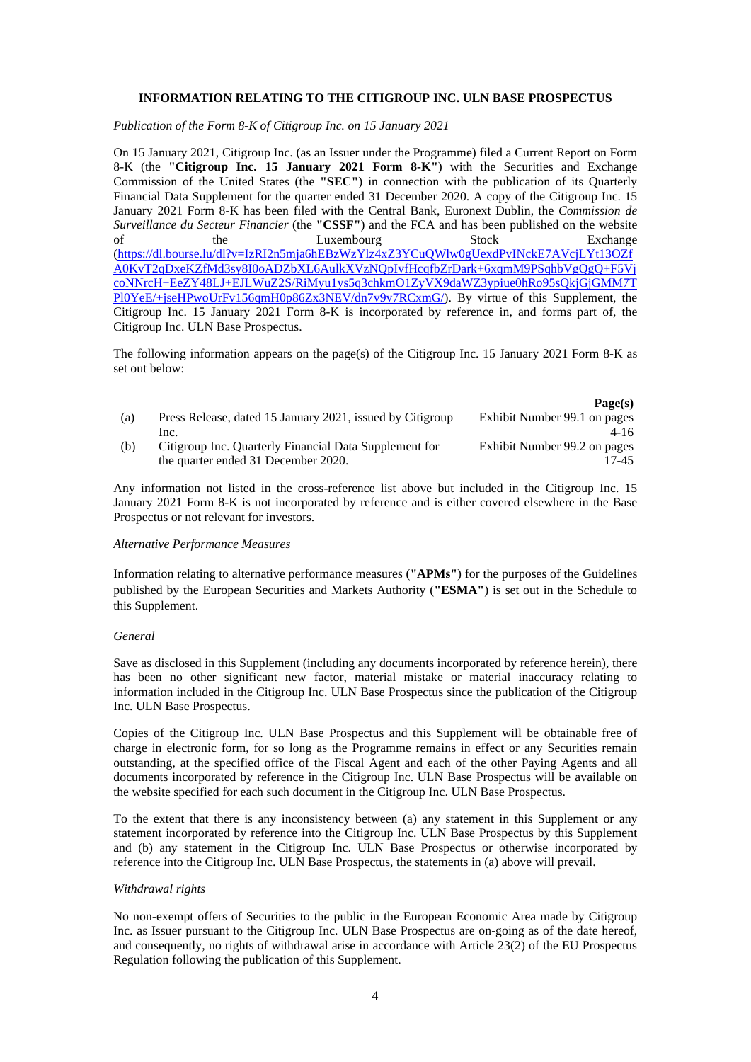## **INFORMATION RELATING TO THE CITIGROUP INC. ULN BASE PROSPECTUS**

*Publication of the Form 8-K of Citigroup Inc. on 15 January 2021* 

On 15 January 2021, Citigroup Inc. (as an Issuer under the Programme) filed a Current Report on Form 8-K (the **"Citigroup Inc. 15 January 2021 Form 8-K"**) with the Securities and Exchange Commission of the United States (the **"SEC"**) in connection with the publication of its Quarterly Financial Data Supplement for the quarter ended 31 December 2020. A copy of the Citigroup Inc. 15 January 2021 Form 8-K has been filed with the Central Bank, Euronext Dublin, the *Commission de Surveillance du Secteur Financier* (the **"CSSF"**) and the FCA and has been published on the website of the Luxembourg Stock Exchange (https://dl.bourse.lu/dl?v=IzRI2n5mja6hEBzWzYlz4xZ3YCuQWlw0gUexdPvINckE7AVcjLYt13OZf A0KvT2qDxeKZfMd3sy8I0oADZbXL6AulkXVzNQpIvfHcqfbZrDark+6xqmM9PSqhbVgQgQ+F5Vj coNNrcH+EeZY48LJ+EJLWuZ2S/RiMyu1ys5q3chkmO1ZyVX9daWZ3ypiue0hRo95sQkjGjGMM7T Pl0YeE/+jseHPwoUrFv156qmH0p86Zx3NEV/dn7v9y7RCxmG/). By virtue of this Supplement, the Citigroup Inc. 15 January 2021 Form 8-K is incorporated by reference in, and forms part of, the Citigroup Inc. ULN Base Prospectus.

The following information appears on the page(s) of the Citigroup Inc. 15 January 2021 Form 8-K as set out below:

|     |                                                           | r agets)                     |
|-----|-----------------------------------------------------------|------------------------------|
| (a) | Press Release, dated 15 January 2021, issued by Citigroup | Exhibit Number 99.1 on pages |
|     | Inc.                                                      | 4-16                         |
| (b) | Citigroup Inc. Quarterly Financial Data Supplement for    | Exhibit Number 99.2 on pages |
|     | the quarter ended 31 December 2020.                       | 17-45                        |

 $\mathbf{p}_{\alpha\alpha\alpha}(\alpha)$ 

Any information not listed in the cross-reference list above but included in the Citigroup Inc. 15 January 2021 Form 8-K is not incorporated by reference and is either covered elsewhere in the Base Prospectus or not relevant for investors.

#### *Alternative Performance Measures*

Information relating to alternative performance measures (**"APMs"**) for the purposes of the Guidelines published by the European Securities and Markets Authority (**"ESMA"**) is set out in the Schedule to this Supplement.

#### *General*

Save as disclosed in this Supplement (including any documents incorporated by reference herein), there has been no other significant new factor, material mistake or material inaccuracy relating to information included in the Citigroup Inc. ULN Base Prospectus since the publication of the Citigroup Inc. ULN Base Prospectus.

Copies of the Citigroup Inc. ULN Base Prospectus and this Supplement will be obtainable free of charge in electronic form, for so long as the Programme remains in effect or any Securities remain outstanding, at the specified office of the Fiscal Agent and each of the other Paying Agents and all documents incorporated by reference in the Citigroup Inc. ULN Base Prospectus will be available on the website specified for each such document in the Citigroup Inc. ULN Base Prospectus.

To the extent that there is any inconsistency between (a) any statement in this Supplement or any statement incorporated by reference into the Citigroup Inc. ULN Base Prospectus by this Supplement and (b) any statement in the Citigroup Inc. ULN Base Prospectus or otherwise incorporated by reference into the Citigroup Inc. ULN Base Prospectus, the statements in (a) above will prevail.

#### *Withdrawal rights*

No non-exempt offers of Securities to the public in the European Economic Area made by Citigroup Inc. as Issuer pursuant to the Citigroup Inc. ULN Base Prospectus are on-going as of the date hereof, and consequently, no rights of withdrawal arise in accordance with Article 23(2) of the EU Prospectus Regulation following the publication of this Supplement.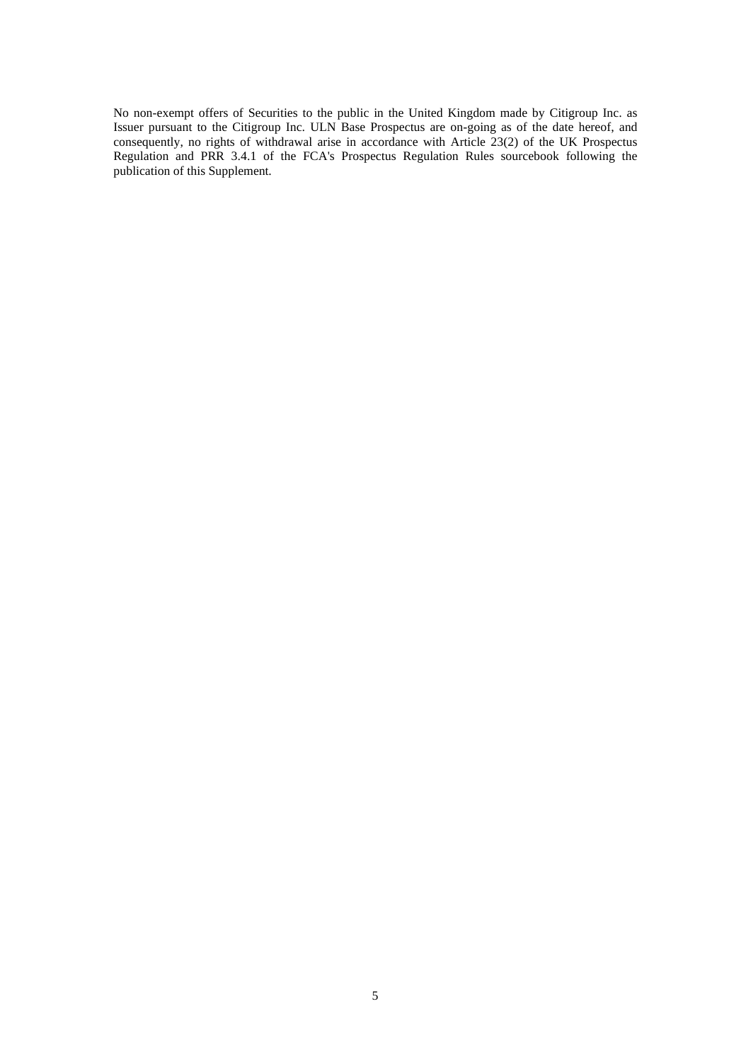No non-exempt offers of Securities to the public in the United Kingdom made by Citigroup Inc. as Issuer pursuant to the Citigroup Inc. ULN Base Prospectus are on-going as of the date hereof, and consequently, no rights of withdrawal arise in accordance with Article 23(2) of the UK Prospectus Regulation and PRR 3.4.1 of the FCA's Prospectus Regulation Rules sourcebook following the publication of this Supplement.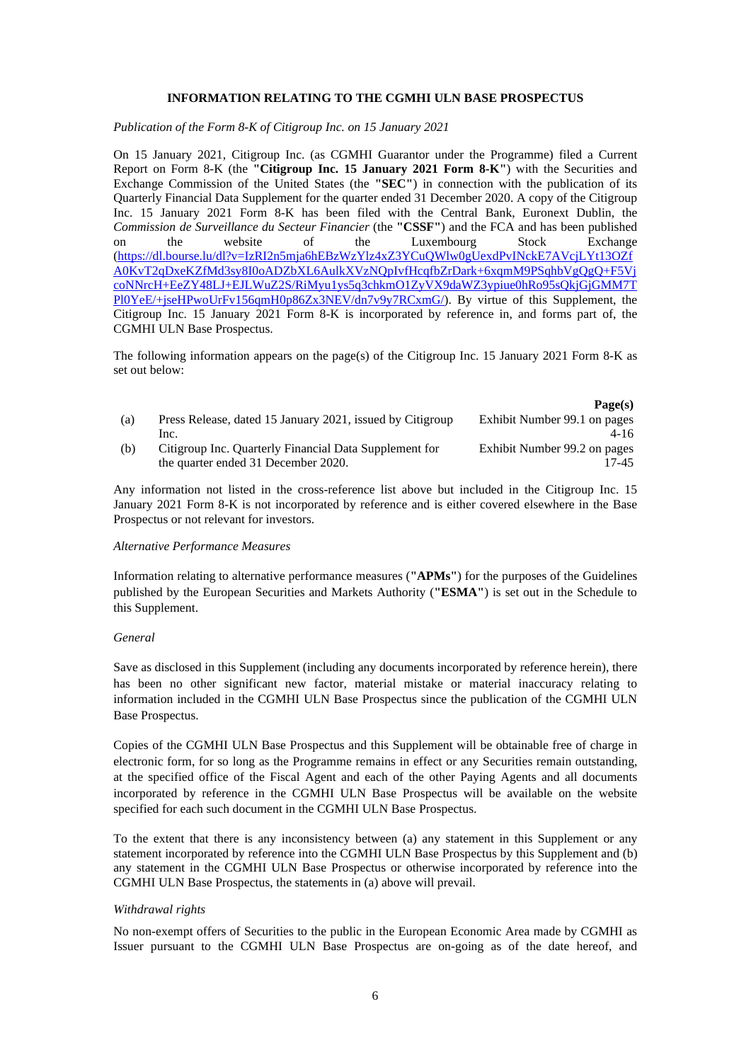# **INFORMATION RELATING TO THE CGMHI ULN BASE PROSPECTUS**

*Publication of the Form 8-K of Citigroup Inc. on 15 January 2021* 

On 15 January 2021, Citigroup Inc. (as CGMHI Guarantor under the Programme) filed a Current Report on Form 8-K (the **"Citigroup Inc. 15 January 2021 Form 8-K"**) with the Securities and Exchange Commission of the United States (the **"SEC"**) in connection with the publication of its Quarterly Financial Data Supplement for the quarter ended 31 December 2020. A copy of the Citigroup Inc. 15 January 2021 Form 8-K has been filed with the Central Bank, Euronext Dublin, the *Commission de Surveillance du Secteur Financier* (the **"CSSF"**) and the FCA and has been published on the website of the Luxembourg Stock Exchange (https://dl.bourse.lu/dl?v=IzRI2n5mja6hEBzWzYlz4xZ3YCuQWlw0gUexdPvINckE7AVcjLYt13OZf A0KvT2qDxeKZfMd3sy8I0oADZbXL6AulkXVzNQpIvfHcqfbZrDark+6xqmM9PSqhbVgQgQ+F5Vj coNNrcH+EeZY48LJ+EJLWuZ2S/RiMyu1ys5q3chkmO1ZyVX9daWZ3ypiue0hRo95sQkjGjGMM7T Pl0YeE/+jseHPwoUrFv156qmH0p86Zx3NEV/dn7v9y7RCxmG/). By virtue of this Supplement, the Citigroup Inc. 15 January 2021 Form 8-K is incorporated by reference in, and forms part of, the CGMHI ULN Base Prospectus.

The following information appears on the page(s) of the Citigroup Inc. 15 January 2021 Form 8-K as set out below:

|     |                                                           | Page(s)                      |
|-----|-----------------------------------------------------------|------------------------------|
| (a) | Press Release, dated 15 January 2021, issued by Citigroup | Exhibit Number 99.1 on pages |
|     | Inc.                                                      | 4-16                         |
| (b) | Citigroup Inc. Quarterly Financial Data Supplement for    | Exhibit Number 99.2 on pages |
|     | the quarter ended 31 December 2020.                       | 17-45                        |

Any information not listed in the cross-reference list above but included in the Citigroup Inc. 15 January 2021 Form 8-K is not incorporated by reference and is either covered elsewhere in the Base Prospectus or not relevant for investors.

#### *Alternative Performance Measures*

Information relating to alternative performance measures (**"APMs"**) for the purposes of the Guidelines published by the European Securities and Markets Authority (**"ESMA"**) is set out in the Schedule to this Supplement.

## *General*

Save as disclosed in this Supplement (including any documents incorporated by reference herein), there has been no other significant new factor, material mistake or material inaccuracy relating to information included in the CGMHI ULN Base Prospectus since the publication of the CGMHI ULN Base Prospectus.

Copies of the CGMHI ULN Base Prospectus and this Supplement will be obtainable free of charge in electronic form, for so long as the Programme remains in effect or any Securities remain outstanding, at the specified office of the Fiscal Agent and each of the other Paying Agents and all documents incorporated by reference in the CGMHI ULN Base Prospectus will be available on the website specified for each such document in the CGMHI ULN Base Prospectus.

To the extent that there is any inconsistency between (a) any statement in this Supplement or any statement incorporated by reference into the CGMHI ULN Base Prospectus by this Supplement and (b) any statement in the CGMHI ULN Base Prospectus or otherwise incorporated by reference into the CGMHI ULN Base Prospectus, the statements in (a) above will prevail.

## *Withdrawal rights*

No non-exempt offers of Securities to the public in the European Economic Area made by CGMHI as Issuer pursuant to the CGMHI ULN Base Prospectus are on-going as of the date hereof, and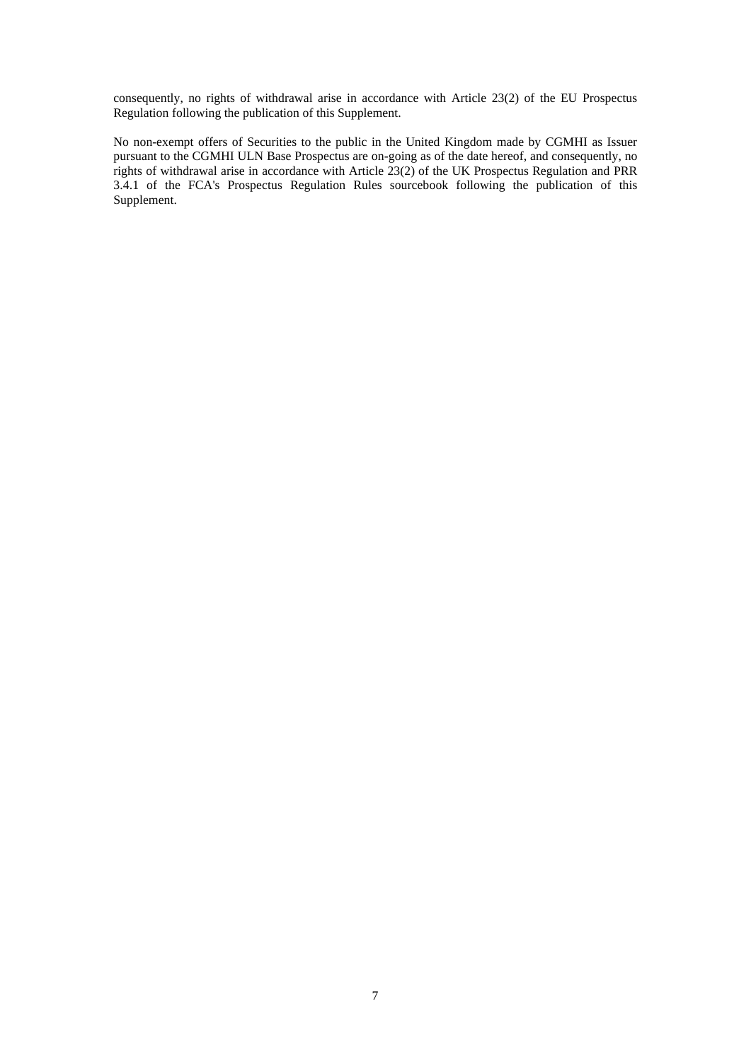consequently, no rights of withdrawal arise in accordance with Article 23(2) of the EU Prospectus Regulation following the publication of this Supplement.

No non-exempt offers of Securities to the public in the United Kingdom made by CGMHI as Issuer pursuant to the CGMHI ULN Base Prospectus are on-going as of the date hereof, and consequently, no rights of withdrawal arise in accordance with Article 23(2) of the UK Prospectus Regulation and PRR 3.4.1 of the FCA's Prospectus Regulation Rules sourcebook following the publication of this Supplement.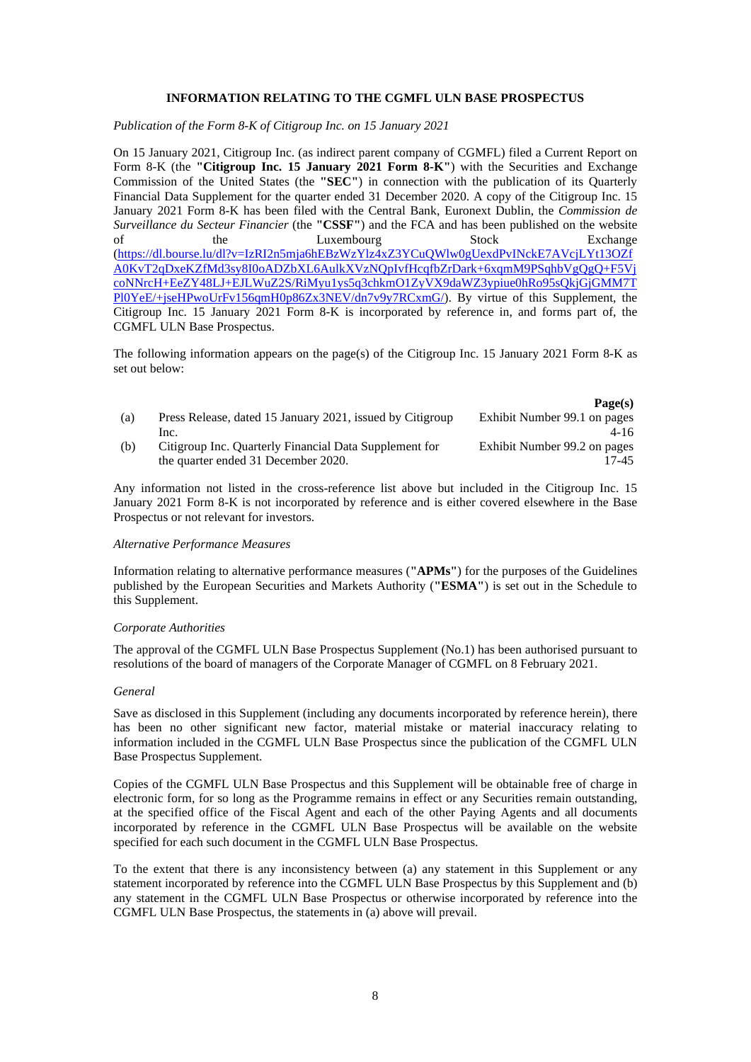# **INFORMATION RELATING TO THE CGMFL ULN BASE PROSPECTUS**

*Publication of the Form 8-K of Citigroup Inc. on 15 January 2021* 

On 15 January 2021, Citigroup Inc. (as indirect parent company of CGMFL) filed a Current Report on Form 8-K (the **"Citigroup Inc. 15 January 2021 Form 8-K"**) with the Securities and Exchange Commission of the United States (the **"SEC"**) in connection with the publication of its Quarterly Financial Data Supplement for the quarter ended 31 December 2020. A copy of the Citigroup Inc. 15 January 2021 Form 8-K has been filed with the Central Bank, Euronext Dublin, the *Commission de Surveillance du Secteur Financier* (the **"CSSF"**) and the FCA and has been published on the website of the Luxembourg Stock Exchange (https://dl.bourse.lu/dl?v=IzRI2n5mja6hEBzWzYlz4xZ3YCuQWlw0gUexdPvINckE7AVcjLYt13OZf A0KvT2qDxeKZfMd3sy8I0oADZbXL6AulkXVzNQpIvfHcqfbZrDark+6xqmM9PSqhbVgQgQ+F5Vj coNNrcH+EeZY48LJ+EJLWuZ2S/RiMyu1ys5q3chkmO1ZyVX9daWZ3ypiue0hRo95sQkjGjGMM7T Pl0YeE/+jseHPwoUrFv156qmH0p86Zx3NEV/dn7v9y7RCxmG/). By virtue of this Supplement, the Citigroup Inc. 15 January 2021 Form 8-K is incorporated by reference in, and forms part of, the CGMFL ULN Base Prospectus.

The following information appears on the page(s) of the Citigroup Inc. 15 January 2021 Form 8-K as set out below:

|     |                                                           | r agets)                     |
|-----|-----------------------------------------------------------|------------------------------|
| (a) | Press Release, dated 15 January 2021, issued by Citigroup | Exhibit Number 99.1 on pages |
|     | Inc.                                                      | 4-16                         |
| (b) | Citigroup Inc. Quarterly Financial Data Supplement for    | Exhibit Number 99.2 on pages |
|     | the quarter ended 31 December 2020.                       | 17-45                        |

 $\mathbf{p}_{\alpha\alpha\alpha}(\alpha)$ 

Any information not listed in the cross-reference list above but included in the Citigroup Inc. 15 January 2021 Form 8-K is not incorporated by reference and is either covered elsewhere in the Base Prospectus or not relevant for investors.

#### *Alternative Performance Measures*

Information relating to alternative performance measures (**"APMs"**) for the purposes of the Guidelines published by the European Securities and Markets Authority (**"ESMA"**) is set out in the Schedule to this Supplement.

## *Corporate Authorities*

The approval of the CGMFL ULN Base Prospectus Supplement (No.1) has been authorised pursuant to resolutions of the board of managers of the Corporate Manager of CGMFL on 8 February 2021.

#### *General*

Save as disclosed in this Supplement (including any documents incorporated by reference herein), there has been no other significant new factor, material mistake or material inaccuracy relating to information included in the CGMFL ULN Base Prospectus since the publication of the CGMFL ULN Base Prospectus Supplement.

Copies of the CGMFL ULN Base Prospectus and this Supplement will be obtainable free of charge in electronic form, for so long as the Programme remains in effect or any Securities remain outstanding, at the specified office of the Fiscal Agent and each of the other Paying Agents and all documents incorporated by reference in the CGMFL ULN Base Prospectus will be available on the website specified for each such document in the CGMFL ULN Base Prospectus.

To the extent that there is any inconsistency between (a) any statement in this Supplement or any statement incorporated by reference into the CGMFL ULN Base Prospectus by this Supplement and (b) any statement in the CGMFL ULN Base Prospectus or otherwise incorporated by reference into the CGMFL ULN Base Prospectus, the statements in (a) above will prevail.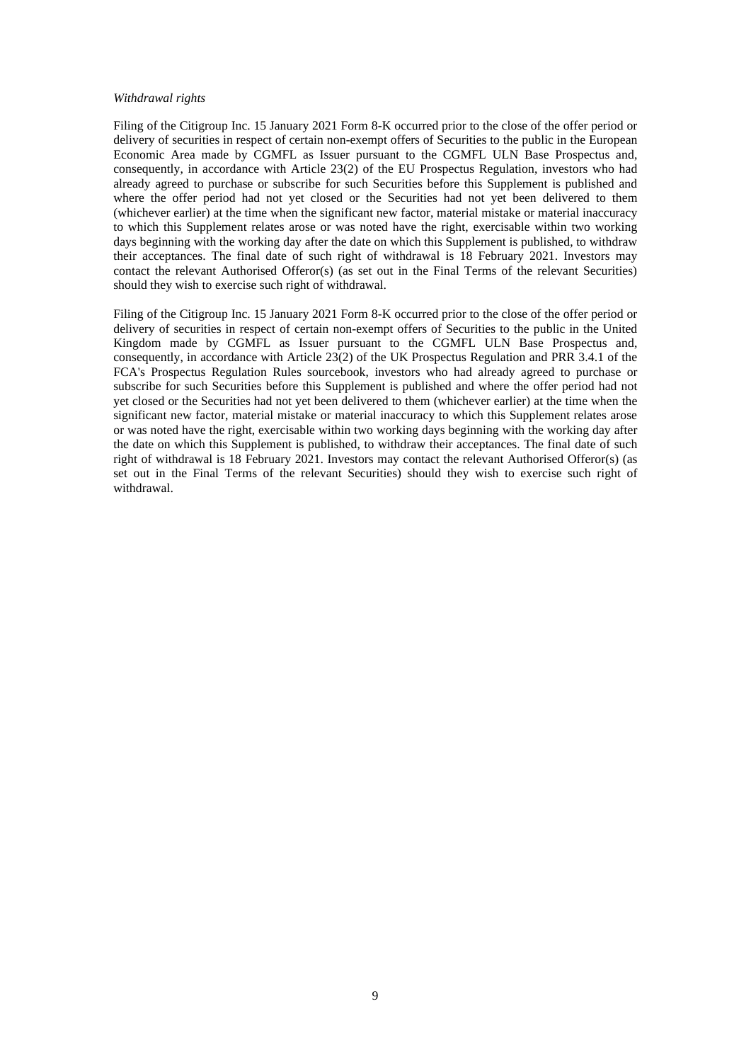#### *Withdrawal rights*

Filing of the Citigroup Inc. 15 January 2021 Form 8-K occurred prior to the close of the offer period or delivery of securities in respect of certain non-exempt offers of Securities to the public in the European Economic Area made by CGMFL as Issuer pursuant to the CGMFL ULN Base Prospectus and, consequently, in accordance with Article 23(2) of the EU Prospectus Regulation, investors who had already agreed to purchase or subscribe for such Securities before this Supplement is published and where the offer period had not yet closed or the Securities had not yet been delivered to them (whichever earlier) at the time when the significant new factor, material mistake or material inaccuracy to which this Supplement relates arose or was noted have the right, exercisable within two working days beginning with the working day after the date on which this Supplement is published, to withdraw their acceptances. The final date of such right of withdrawal is 18 February 2021. Investors may contact the relevant Authorised Offeror(s) (as set out in the Final Terms of the relevant Securities) should they wish to exercise such right of withdrawal.

Filing of the Citigroup Inc. 15 January 2021 Form 8-K occurred prior to the close of the offer period or delivery of securities in respect of certain non-exempt offers of Securities to the public in the United Kingdom made by CGMFL as Issuer pursuant to the CGMFL ULN Base Prospectus and, consequently, in accordance with Article 23(2) of the UK Prospectus Regulation and PRR 3.4.1 of the FCA's Prospectus Regulation Rules sourcebook, investors who had already agreed to purchase or subscribe for such Securities before this Supplement is published and where the offer period had not yet closed or the Securities had not yet been delivered to them (whichever earlier) at the time when the significant new factor, material mistake or material inaccuracy to which this Supplement relates arose or was noted have the right, exercisable within two working days beginning with the working day after the date on which this Supplement is published, to withdraw their acceptances. The final date of such right of withdrawal is 18 February 2021. Investors may contact the relevant Authorised Offeror(s) (as set out in the Final Terms of the relevant Securities) should they wish to exercise such right of withdrawal.